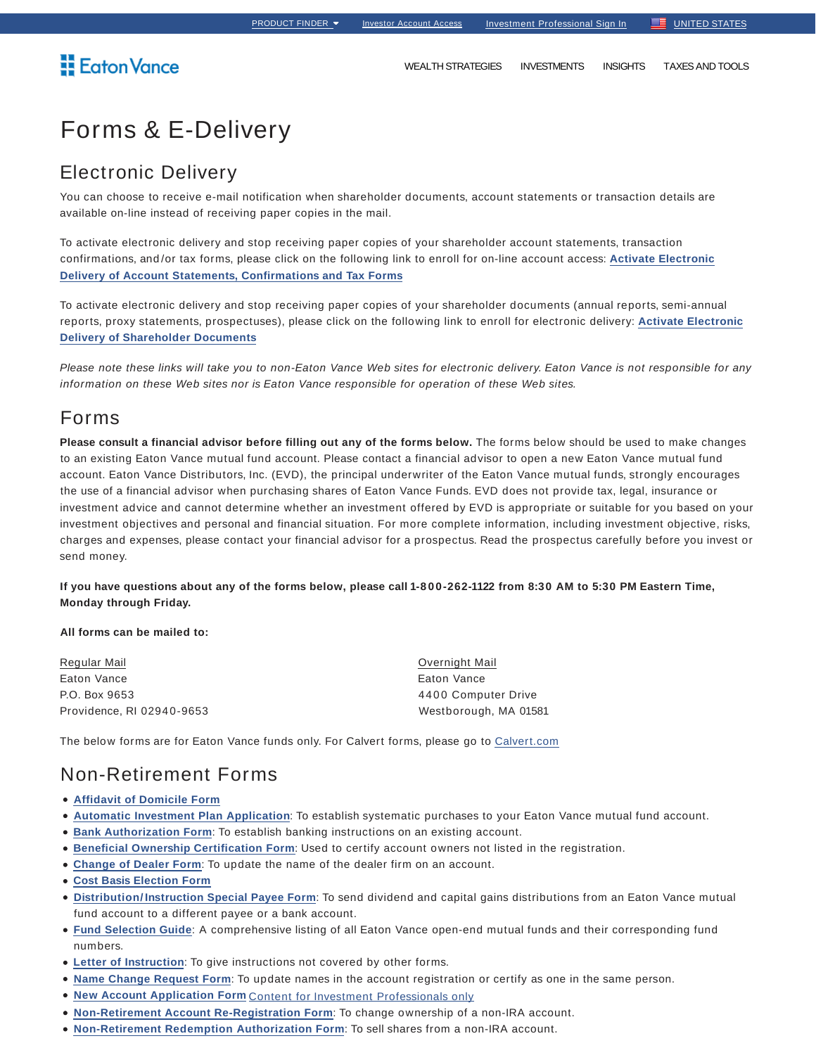# Forms & E-Delivery

### Electronic Delivery

You can choose to receive e-mail notification when shareholder documents, account statements or transaction details are available on-line instead of receiving paper copies in the mail.

To activate electronic delivery and stop receiving paper copies of your shareholder account statements, transaction confirmations, and /or tax forms, please click on the following link to enroll for on-line account access: **Activate Electronic Delivery of Account Statements, Confirmations and Tax Forms**

To activate electronic delivery and stop receiving paper copies of your shareholder documents (annual reports, semi-annual reports, proxy statements, prospectuses), please click on the following link to enroll for electronic delivery: **Activate Electronic Delivery of Shareholder Documents**

Please note these links will take you to non-Eaton Vance Web sites for electronic delivery. Eaton Vance is not responsible for any information on these Web sites nor is Eaton Vance responsible for operation of these Web sites.

### Forms

**Please consult a financial advisor before filling out any of the forms below.** The forms below should be used to make changes to an existing Eaton Vance mutual fund account. Please contact a financial advisor to open a new Eaton Vance mutual fund account. Eaton Vance Distributors, Inc. (EVD), the principal underwriter of the Eaton Vance mutual funds, strongly encourages the use of a financial advisor when purchasing shares of Eaton Vance Funds. EVD does not provide tax, legal, insurance or investment advice and cannot determine whether an investment offered by EVD is appropriate or suitable for you based on your investment objectives and personal and financial situation. For more complete information, including investment objective, risks, charges and expenses, please contact your financial advisor for a prospectus. Read the prospectus carefully before you invest or send money.

**If you have questions about any of the forms below, please call 1-8 0 0-262-1122 from 8:30 AM to 5:30 PM Eastern Time, Monday through Friday.**

#### **All forms can be mailed to:**

Regular Mail Eaton Vance P.O. Box 9653 Providence, RI 02940-9653

Overnight Mail Eaton Vance 4400 Computer Drive Westborough, MA 01581

The below forms are for Eaton Vance funds only. For Calvert forms, please go to Calvert.com

### Non-Retirement Forms

- **Affidavit of Domicile Form**
- **Automatic Investment Plan Application**: To establish systematic purchases to your Eaton Vance mutual fund account.
- **Bank Authorization Form**: To establish banking instructions on an existing account.
- **Beneficial Ownership Certification Form**: Used to certify account owners not listed in the registration.
- **Change of Dealer Form**: To update the name of the dealer firm on an account.
- **Cost Basis Election Form**
- **Distribution/ Instruction Special Payee Form**: To send dividend and capital gains distributions from an Eaton Vance mutual fund account to a different payee or a bank account.
- **Fund Selection Guide**: A comprehensive listing of all Eaton Vance open-end mutual funds and their corresponding fund numbers.
- **Letter of Instruction**: To give instructions not covered by other forms.
- **Name Change Request Form**: To update names in the account registration or certify as one in the same person.
- **New Account Application Form** Content for Investment Professionals only
- **Non-Retirement Account Re-Registration Form**: To change ownership of a non-IRA account.
- **Non-Retirement Redemption Authorization Form**: To sell shares from a non-IRA account.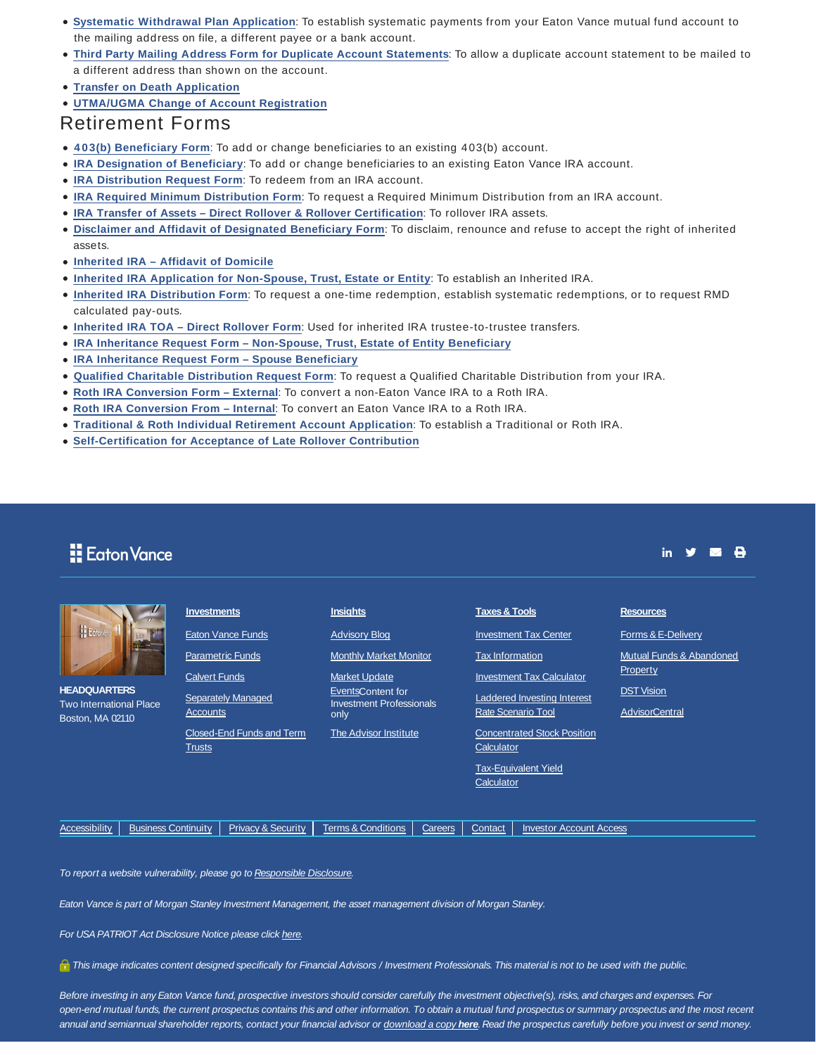- **Systematic Withdrawal Plan Application**: To establish systematic payments from your Eaton Vance mutual fund account to the mailing address on file, a different payee or a bank account.
- **Third Party Mailing Address Form for Duplicate Account Statements**: To allow a duplicate account statement to be mailed to a different address than shown on the account.
- **Transfer on Death Application**
- **UTMA/UGMA Change of Account Registration**

### Retirement Forms

- **4 03(b) Beneficiary Form**: To add or change beneficiaries to an existing 403(b) account.
- **IRA Designation of Beneficiary**: To add or change beneficiaries to an existing Eaton Vance IRA account.
- **IRA Distribution Request Form**: To redeem from an IRA account.
- **IRA Required Minimum Distribution Form**: To request a Required Minimum Distribution from an IRA account.
- **IRA Transfer of Assets Direct Rollover & Rollover Certification**: To rollover IRA assets.
- **Disclaimer and Affidavit of Designated Beneficiary Form**: To disclaim, renounce and refuse to accept the right of inherited assets.
- **Inherited IRA Affidavit of Domicile**
- **Inherited IRA Application for Non-Spouse, Trust, Estate or Entity**: To establish an Inherited IRA.
- **Inherited IRA Distribution Form**: To request a one-time redemption, establish systematic redemptions, or to request RMD calculated pay-outs.
- **Inherited IRA TOA Direct Rollover Form**: Used for inherited IRA trustee-to-trustee transfers.
- **IRA Inheritance Request Form Non-Spouse, Trust, Estate of Entity Beneficiary**
- **IRA Inheritance Request Form Spouse Beneficiary**
- **Qualified Charitable Distribution Request Form**: To request a Qualified Charitable Distribution from your IRA.
- **Roth IRA Conversion Form External**: To convert a non-Eaton Vance IRA to a Roth IRA.
- **Roth IRA Conversion From Internal**: To convert an Eaton Vance IRA to a Roth IRA.
- **Traditional & Roth Individual Retirement Account Application**: To establish a Traditional or Roth IRA.
- **Self-Certification for Acceptance of Late Rollover Contribution**

## **E**aton Vance

| E Ectoria<br><b>HEADQUARTERS</b><br><b>Two International Place</b><br>Boston, MA 02110 | <b>Investments</b>                         | <b>Insights</b>                                              | <b>Taxes &amp; Tools</b>                                        | <b>Resources</b>                           |
|----------------------------------------------------------------------------------------|--------------------------------------------|--------------------------------------------------------------|-----------------------------------------------------------------|--------------------------------------------|
|                                                                                        | <b>Eaton Vance Funds</b>                   | <b>Advisory Blog</b>                                         | <b>Investment Tax Center</b>                                    | Forms & E-Delivery                         |
|                                                                                        | <b>Parametric Funds</b>                    | <b>Monthly Market Monitor</b>                                | <b>Tax Information</b>                                          | Mutual Funds & Abandoned                   |
|                                                                                        | <b>Calvert Funds</b>                       | <b>Market Update</b>                                         | <b>Investment Tax Calculator</b>                                | Property                                   |
|                                                                                        | <b>Separately Managed</b><br>Accounts      | EventsContent for<br><b>Investment Professionals</b><br>only | <b>Laddered Investing Interest</b><br><b>Rate Scenario Tool</b> | <b>DST Vision</b><br><b>AdvisorCentral</b> |
|                                                                                        | Closed-End Funds and Term<br><b>Trusts</b> | The Advisor Institute                                        | <b>Concentrated Stock Position</b><br>Calculator                |                                            |
|                                                                                        |                                            |                                                              | <b>Tax-Equivalent Yield</b><br>Calculator                       |                                            |
|                                                                                        |                                            |                                                              |                                                                 |                                            |

Accessibility | Business Continuity | Privacy & Security | Terms & Conditions | Careers | Contact | Investor Account Access

in **y ⊠ ⊖** 

To report a website vulnerability, please go to Responsible Disclosure.

Eaton Vance is part of Morgan Stanley Investment Management, the asset management division of Morgan Stanley.

For USA PATRIOT Act Disclosure Notice please click here.

This image indicates content designed specifically for Financial Advisors / Investment Professionals. This material is not to be used with the public.

Before investing in any Eaton Vance fund, prospective investors should consider carefully the investment objective(s), risks, and charges and expenses. For open-end mutual funds, the current prospectus contains this and other information. To obtain a mutual fund prospectus or summary prospectus and the most recent annual and semiannual shareholder reports, contact your financial advisor or download a copy **here**. Read the prospectus carefully before you invest or send money.